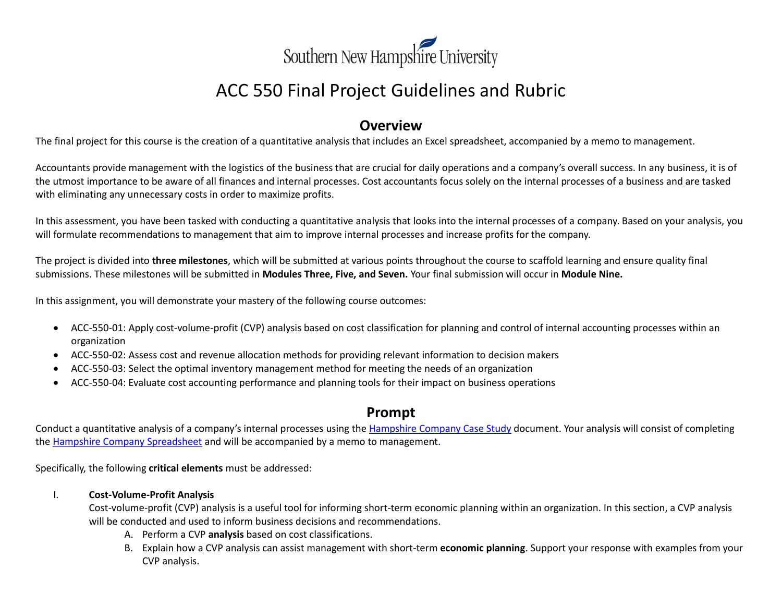

# ACC 550 Final Project Guidelines and Rubric

## **Overview**

The final project for this course is the creation of a quantitative analysis that includes an Excel spreadsheet, accompanied by a memo to management.

Accountants provide management with the logistics of the business that are crucial for daily operations and a company's overall success. In any business, it is of the utmost importance to be aware of all finances and internal processes. Cost accountants focus solely on the internal processes of a business and are tasked with eliminating any unnecessary costs in order to maximize profits.

In this assessment, you have been tasked with conducting a quantitative analysis that looks into the internal processes of a company. Based on your analysis, you will formulate recommendations to management that aim to improve internal processes and increase profits for the company.

The project is divided into **three milestones**, which will be submitted at various points throughout the course to scaffold learning and ensure quality final submissions. These milestones will be submitted in **Modules Three, Five, and Seven.** Your final submission will occur in **Module Nine.**

In this assignment, you will demonstrate your mastery of the following course outcomes:

- ACC-550-01: Apply cost-volume-profit (CVP) analysis based on cost classification for planning and control of internal accounting processes within an organization
- ACC-550-02: Assess cost and revenue allocation methods for providing relevant information to decision makers
- ACC-550-03: Select the optimal inventory management method for meeting the needs of an organization
- ACC-550-04: Evaluate cost accounting performance and planning tools for their impact on business operations

### **Prompt**

Conduct a quantitative analysis of a company's internal processes using th[e Hampshire Company Case Study](https://learn.snhu.edu/d2l/lor/viewer/view.d2l?ou=6606&loIdentId=661) document. Your analysis will consist of completing the [Hampshire Company Spreadsheet](https://learn.snhu.edu/d2l/lor/viewer/view.d2l?ou=6606&loIdentId=662) and will be accompanied by a memo to management.

Specifically, the following **critical elements** must be addressed:

### I. **Cost-Volume-Profit Analysis**

Cost-volume-profit (CVP) analysis is a useful tool for informing short-term economic planning within an organization. In this section, a CVP analysis will be conducted and used to inform business decisions and recommendations.

- A. Perform a CVP **analysis** based on cost classifications.
- B. Explain how a CVP analysis can assist management with short-term **economic planning**. Support your response with examples from your CVP analysis.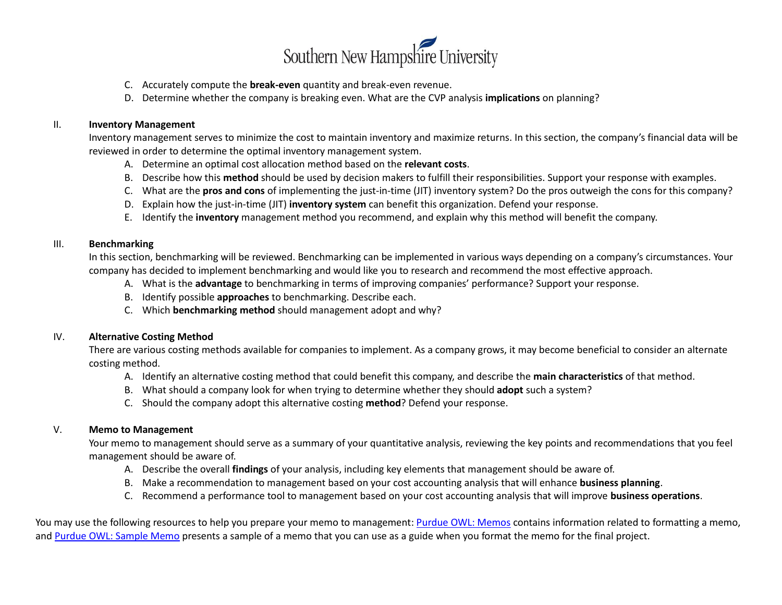

- C. Accurately compute the **break-even** quantity and break-even revenue.
- D. Determine whether the company is breaking even. What are the CVP analysis **implications** on planning?

### II. **Inventory Management**

Inventory management serves to minimize the cost to maintain inventory and maximize returns. In this section, the company's financial data will be reviewed in order to determine the optimal inventory management system.

- A. Determine an optimal cost allocation method based on the **relevant costs**.
- B. Describe how this **method** should be used by decision makers to fulfill their responsibilities. Support your response with examples.
- C. What are the **pros and cons** of implementing the just-in-time (JIT) inventory system? Do the pros outweigh the cons for this company?
- D. Explain how the just-in-time (JIT) **inventory system** can benefit this organization. Defend your response.
- E. Identify the **inventory** management method you recommend, and explain why this method will benefit the company.

### III. **Benchmarking**

In this section, benchmarking will be reviewed. Benchmarking can be implemented in various ways depending on a company's circumstances. Your company has decided to implement benchmarking and would like you to research and recommend the most effective approach.

- A. What is the **advantage** to benchmarking in terms of improving companies' performance? Support your response.
- B. Identify possible **approaches** to benchmarking. Describe each.
- C. Which **benchmarking method** should management adopt and why?

### IV. **Alternative Costing Method**

There are various costing methods available for companies to implement. As a company grows, it may become beneficial to consider an alternate costing method.

- A. Identify an alternative costing method that could benefit this company, and describe the **main characteristics** of that method.
- B. What should a company look for when trying to determine whether they should **adopt** such a system?
- C. Should the company adopt this alternative costing **method**? Defend your response.

### V. **Memo to Management**

Your memo to management should serve as a summary of your quantitative analysis, reviewing the key points and recommendations that you feel management should be aware of.

- A. Describe the overall **findings** of your analysis, including key elements that management should be aware of.
- B. Make a recommendation to management based on your cost accounting analysis that will enhance **business planning**.
- C. Recommend a performance tool to management based on your cost accounting analysis that will improve **business operations**.

You may use the following resources to help you prepare your memo to management[: Purdue OWL: Memos](https://owl.purdue.edu/owl/subject_specific_writing/professional_technical_writing/memos/parts_of_a_memo.html) contains information related to formatting a memo, and [Purdue OWL: Sample Memo](https://owl.purdue.edu/owl/subject_specific_writing/professional_technical_writing/memos/sample_memo.html) presents a sample of a memo that you can use as a guide when you format the memo for the final project.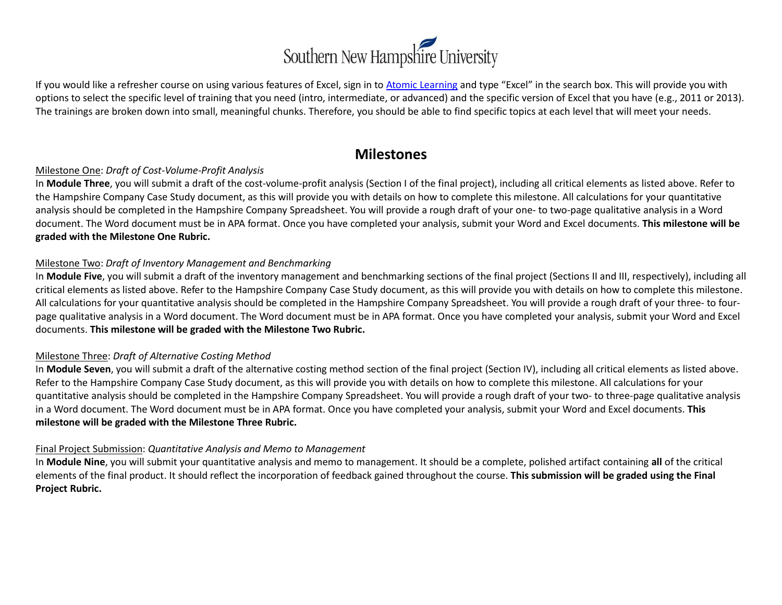

If you would like a refresher course on using various features of Excel, sign in to [Atomic Learning](https://www.atomiclearning.com/login/snhu) and type "Excel" in the search box. This will provide you with options to select the specific level of training that you need (intro, intermediate, or advanced) and the specific version of Excel that you have (e.g., 2011 or 2013). The trainings are broken down into small, meaningful chunks. Therefore, you should be able to find specific topics at each level that will meet your needs.

### **Milestones**

### Milestone One: *Draft of Cost-Volume-Profit Analysis*

In **Module Three**, you will submit a draft of the cost-volume-profit analysis (Section I of the final project), including all critical elements as listed above. Refer to the Hampshire Company Case Study document, as this will provide you with details on how to complete this milestone. All calculations for your quantitative analysis should be completed in the Hampshire Company Spreadsheet. You will provide a rough draft of your one- to two-page qualitative analysis in a Word document. The Word document must be in APA format. Once you have completed your analysis, submit your Word and Excel documents. **This milestone will be graded with the Milestone One Rubric.** 

### Milestone Two: *Draft of Inventory Management and Benchmarking*

In Module Five, you will submit a draft of the inventory management and benchmarking sections of the final project (Sections II and III, respectively), including all critical elements as listed above. Refer to the Hampshire Company Case Study document, as this will provide you with details on how to complete this milestone. All calculations for your quantitative analysis should be completed in the Hampshire Company Spreadsheet. You will provide a rough draft of your three- to fourpage qualitative analysis in a Word document. The Word document must be in APA format. Once you have completed your analysis, submit your Word and Excel documents. **This milestone will be graded with the Milestone Two Rubric.** 

### Milestone Three: *Draft of Alternative Costing Method*

In **Module Seven**, you will submit a draft of the alternative costing method section of the final project (Section IV), including all critical elements as listed above. Refer to the Hampshire Company Case Study document, as this will provide you with details on how to complete this milestone. All calculations for your quantitative analysis should be completed in the Hampshire Company Spreadsheet. You will provide a rough draft of your two- to three-page qualitative analysis in a Word document. The Word document must be in APA format. Once you have completed your analysis, submit your Word and Excel documents. **This milestone will be graded with the Milestone Three Rubric.** 

### Final Project Submission: *Quantitative Analysis and Memo to Management*

In **Module Nine**, you will submit your quantitative analysis and memo to management. It should be a complete, polished artifact containing **all** of the critical elements of the final product. It should reflect the incorporation of feedback gained throughout the course. **This submission will be graded using the Final Project Rubric.**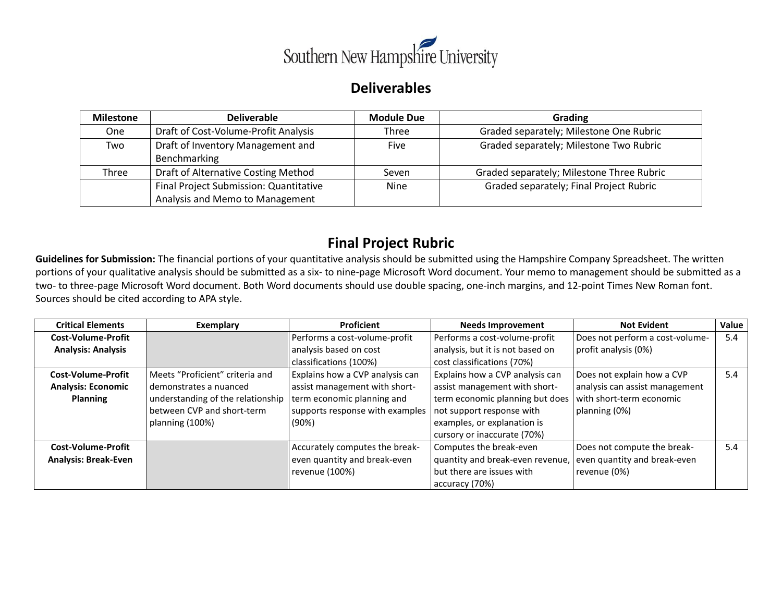

# **Deliverables**

| <b>Milestone</b> | <b>Deliverable</b>                     | <b>Module Due</b> | Grading                                   |
|------------------|----------------------------------------|-------------------|-------------------------------------------|
| <b>One</b>       | Draft of Cost-Volume-Profit Analysis   | Three             | Graded separately; Milestone One Rubric   |
| Two              | Draft of Inventory Management and      | Five              | Graded separately; Milestone Two Rubric   |
|                  | Benchmarking                           |                   |                                           |
| Three            | Draft of Alternative Costing Method    | Seven             | Graded separately; Milestone Three Rubric |
|                  | Final Project Submission: Quantitative | <b>Nine</b>       | Graded separately; Final Project Rubric   |
|                  | Analysis and Memo to Management        |                   |                                           |

# **Final Project Rubric**

**Guidelines for Submission:** The financial portions of your quantitative analysis should be submitted using the Hampshire Company Spreadsheet. The written portions of your qualitative analysis should be submitted as a six- to nine-page Microsoft Word document. Your memo to management should be submitted as a two- to three-page Microsoft Word document. Both Word documents should use double spacing, one-inch margins, and 12-point Times New Roman font. Sources should be cited according to APA style.

| <b>Critical Elements</b>    | Exemplary                         | <b>Proficient</b>               | <b>Needs Improvement</b>         | <b>Not Evident</b>              | Value |
|-----------------------------|-----------------------------------|---------------------------------|----------------------------------|---------------------------------|-------|
| Cost-Volume-Profit          |                                   | Performs a cost-volume-profit   | Performs a cost-volume-profit    | Does not perform a cost-volume- | 5.4   |
| <b>Analysis: Analysis</b>   |                                   | analysis based on cost          | analysis, but it is not based on | profit analysis (0%)            |       |
|                             |                                   | classifications (100%)          | cost classifications (70%)       |                                 |       |
| <b>Cost-Volume-Profit</b>   | Meets "Proficient" criteria and   | Explains how a CVP analysis can | Explains how a CVP analysis can  | Does not explain how a CVP      | 5.4   |
| <b>Analysis: Economic</b>   | demonstrates a nuanced            | assist management with short-   | assist management with short-    | analysis can assist management  |       |
| <b>Planning</b>             | understanding of the relationship | term economic planning and      | term economic planning but does  | with short-term economic        |       |
|                             | between CVP and short-term        | supports response with examples | not support response with        | planning (0%)                   |       |
|                             | planning (100%)                   | (90%)                           | examples, or explanation is      |                                 |       |
|                             |                                   |                                 | cursory or inaccurate (70%)      |                                 |       |
| Cost-Volume-Profit          |                                   | Accurately computes the break-  | Computes the break-even          | Does not compute the break-     | 5.4   |
| <b>Analysis: Break-Even</b> |                                   | even quantity and break-even    | quantity and break-even revenue, | even quantity and break-even    |       |
|                             |                                   | revenue (100%)                  | but there are issues with        | revenue (0%)                    |       |
|                             |                                   |                                 | accuracy (70%)                   |                                 |       |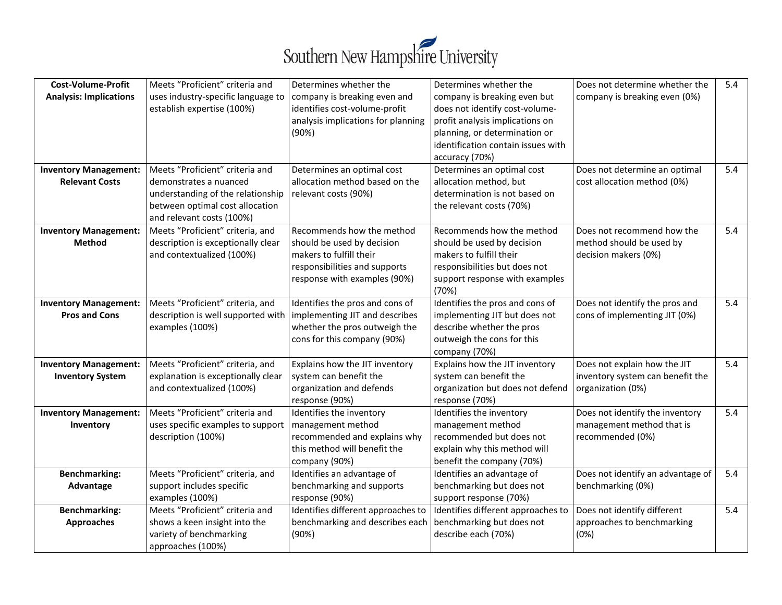

| <b>Cost-Volume-Profit</b><br><b>Analysis: Implications</b> | Meets "Proficient" criteria and<br>uses industry-specific language to<br>establish expertise (100%)                                                            | Determines whether the<br>company is breaking even and<br>identifies cost-volume-profit<br>analysis implications for planning<br>(90%)              | Determines whether the<br>company is breaking even but<br>does not identify cost-volume-<br>profit analysis implications on<br>planning, or determination or<br>identification contain issues with<br>accuracy (70%) | Does not determine whether the<br>company is breaking even (0%)                       | 5.4 |
|------------------------------------------------------------|----------------------------------------------------------------------------------------------------------------------------------------------------------------|-----------------------------------------------------------------------------------------------------------------------------------------------------|----------------------------------------------------------------------------------------------------------------------------------------------------------------------------------------------------------------------|---------------------------------------------------------------------------------------|-----|
| <b>Inventory Management:</b><br><b>Relevant Costs</b>      | Meets "Proficient" criteria and<br>demonstrates a nuanced<br>understanding of the relationship<br>between optimal cost allocation<br>and relevant costs (100%) | Determines an optimal cost<br>allocation method based on the<br>relevant costs (90%)                                                                | Determines an optimal cost<br>allocation method, but<br>determination is not based on<br>the relevant costs (70%)                                                                                                    | Does not determine an optimal<br>cost allocation method (0%)                          | 5.4 |
| <b>Inventory Management:</b><br><b>Method</b>              | Meets "Proficient" criteria, and<br>description is exceptionally clear<br>and contextualized (100%)                                                            | Recommends how the method<br>should be used by decision<br>makers to fulfill their<br>responsibilities and supports<br>response with examples (90%) | Recommends how the method<br>should be used by decision<br>makers to fulfill their<br>responsibilities but does not<br>support response with examples<br>(70%)                                                       | Does not recommend how the<br>method should be used by<br>decision makers (0%)        | 5.4 |
| <b>Inventory Management:</b><br><b>Pros and Cons</b>       | Meets "Proficient" criteria, and<br>description is well supported with<br>examples (100%)                                                                      | Identifies the pros and cons of<br>implementing JIT and describes<br>whether the pros outweigh the<br>cons for this company (90%)                   | Identifies the pros and cons of<br>implementing JIT but does not<br>describe whether the pros<br>outweigh the cons for this<br>company (70%)                                                                         | Does not identify the pros and<br>cons of implementing JIT (0%)                       | 5.4 |
| <b>Inventory Management:</b><br><b>Inventory System</b>    | Meets "Proficient" criteria, and<br>explanation is exceptionally clear<br>and contextualized (100%)                                                            | Explains how the JIT inventory<br>system can benefit the<br>organization and defends<br>response (90%)                                              | Explains how the JIT inventory<br>system can benefit the<br>organization but does not defend<br>response (70%)                                                                                                       | Does not explain how the JIT<br>inventory system can benefit the<br>organization (0%) | 5.4 |
| <b>Inventory Management:</b><br>Inventory                  | Meets "Proficient" criteria and<br>uses specific examples to support<br>description (100%)                                                                     | Identifies the inventory<br>management method<br>recommended and explains why<br>this method will benefit the<br>company (90%)                      | Identifies the inventory<br>management method<br>recommended but does not<br>explain why this method will<br>benefit the company (70%)                                                                               | Does not identify the inventory<br>management method that is<br>recommended (0%)      | 5.4 |
| <b>Benchmarking:</b><br>Advantage                          | Meets "Proficient" criteria, and<br>support includes specific<br>examples (100%)                                                                               | Identifies an advantage of<br>benchmarking and supports<br>response (90%)                                                                           | Identifies an advantage of<br>benchmarking but does not<br>support response (70%)                                                                                                                                    | Does not identify an advantage of<br>benchmarking (0%)                                | 5.4 |
| <b>Benchmarking:</b><br><b>Approaches</b>                  | Meets "Proficient" criteria and<br>shows a keen insight into the<br>variety of benchmarking<br>approaches (100%)                                               | Identifies different approaches to<br>benchmarking and describes each<br>(90%)                                                                      | Identifies different approaches to<br>benchmarking but does not<br>describe each (70%)                                                                                                                               | Does not identify different<br>approaches to benchmarking<br>(0%)                     | 5.4 |